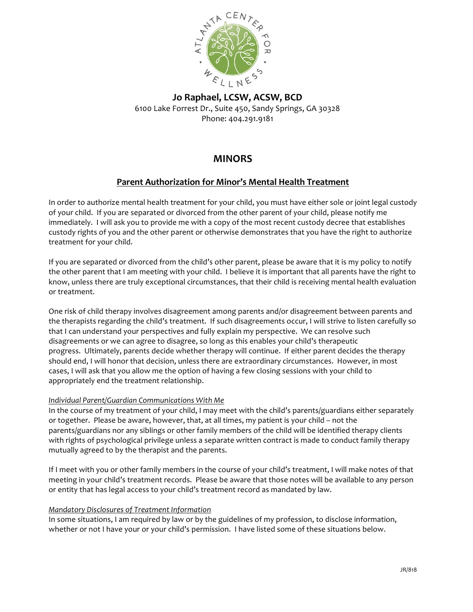

**Jo Raphael, LCSW, ACSW, BCD** 6100 Lake Forrest Dr., Suite 450, Sandy Springs, GA 30328 Phone: 404.291.9181

# **MINORS**

# **Parent Authorization for Minor's Mental Health Treatment**

In order to authorize mental health treatment for your child, you must have either sole or joint legal custody of your child. If you are separated or divorced from the other parent of your child, please notify me immediately. I will ask you to provide me with a copy of the most recent custody decree that establishes custody rights of you and the other parent or otherwise demonstrates that you have the right to authorize treatment for your child.

If you are separated or divorced from the child's other parent, please be aware that it is my policy to notify the other parent that I am meeting with your child. I believe it is important that all parents have the right to know, unless there are truly exceptional circumstances, that their child is receiving mental health evaluation or treatment.

One risk of child therapy involves disagreement among parents and/or disagreement between parents and the therapists regarding the child's treatment. If such disagreements occur, I will strive to listen carefully so that I can understand your perspectives and fully explain my perspective. We can resolve such disagreements or we can agree to disagree, so long as this enables your child's therapeutic progress. Ultimately, parents decide whether therapy will continue. If either parent decides the therapy should end, I will honor that decision, unless there are extraordinary circumstances. However, in most cases, I will ask that you allow me the option of having a few closing sessions with your child to appropriately end the treatment relationship.

## *Individual Parent/Guardian Communications With Me*

In the course of my treatment of your child, I may meet with the child's parents/guardians either separately or together. Please be aware, however, that, at all times, my patient is your child – not the parents/guardians nor any siblings or other family members of the child will be identified therapy clients with rights of psychological privilege unless a separate written contract is made to conduct family therapy mutually agreed to by the therapist and the parents.

If I meet with you or other family members in the course of your child's treatment, I will make notes of that meeting in your child's treatment records. Please be aware that those notes will be available to any person or entity that has legal access to your child's treatment record as mandated by law.

## *Mandatory Disclosures of Treatment Information*

In some situations, I am required by law or by the guidelines of my profession, to disclose information, whether or not I have your or your child's permission. I have listed some of these situations below.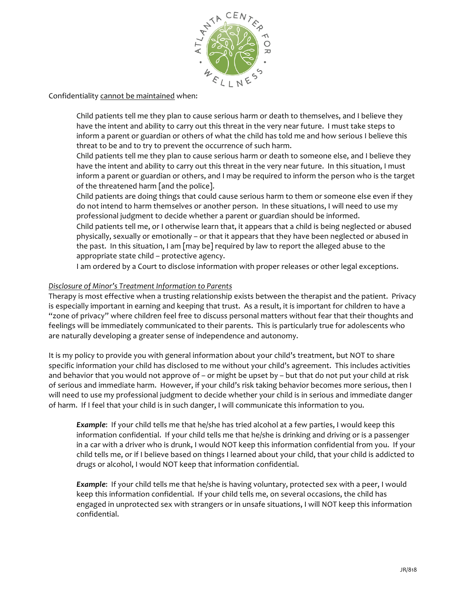

## Confidentiality cannot be maintained when:

Child patients tell me they plan to cause serious harm or death to themselves, and I believe they have the intent and ability to carry out this threat in the very near future. I must take steps to inform a parent or guardian or others of what the child has told me and how serious I believe this threat to be and to try to prevent the occurrence of such harm.

Child patients tell me they plan to cause serious harm or death to someone else, and I believe they have the intent and ability to carry out this threat in the very near future. In this situation, I must inform a parent or guardian or others, and I may be required to inform the person who is the target of the threatened harm [and the police].

Child patients are doing things that could cause serious harm to them or someone else even if they do not intend to harm themselves or another person. In these situations, I will need to use my professional judgment to decide whether a parent or guardian should be informed.

Child patients tell me, or I otherwise learn that, it appears that a child is being neglected or abused physically, sexually or emotionally – or that it appears that they have been neglected or abused in the past. In this situation, I am [may be] required by law to report the alleged abuse to the appropriate state child – protective agency.

I am ordered by a Court to disclose information with proper releases or other legal exceptions.

#### *Disclosure of Minor's Treatment Information to Parents*

Therapy is most effective when a trusting relationship exists between the therapist and the patient. Privacy is especially important in earning and keeping that trust. As a result, it is important for children to have a "zone of privacy" where children feel free to discuss personal matters without fear that their thoughts and feelings will be immediately communicated to their parents. This is particularly true for adolescents who are naturally developing a greater sense of independence and autonomy.

It is my policy to provide you with general information about your child's treatment, but NOT to share specific information your child has disclosed to me without your child's agreement. This includes activities and behavior that you would not approve of – or might be upset by – but that do not put your child at risk of serious and immediate harm. However, if your child's risk taking behavior becomes more serious, then I will need to use my professional judgment to decide whether your child is in serious and immediate danger of harm. If I feel that your child is in such danger, I will communicate this information to you.

*Example*: If your child tells me that he/she has tried alcohol at a few parties, I would keep this information confidential. If your child tells me that he/she is drinking and driving or is a passenger in a car with a driver who is drunk, I would NOT keep this information confidential from you. If your child tells me, or if I believe based on things I learned about your child, that your child is addicted to drugs or alcohol, I would NOT keep that information confidential.

*Example*: If your child tells me that he/she is having voluntary, protected sex with a peer, I would keep this information confidential. If your child tells me, on several occasions, the child has engaged in unprotected sex with strangers or in unsafe situations, I will NOT keep this information confidential.